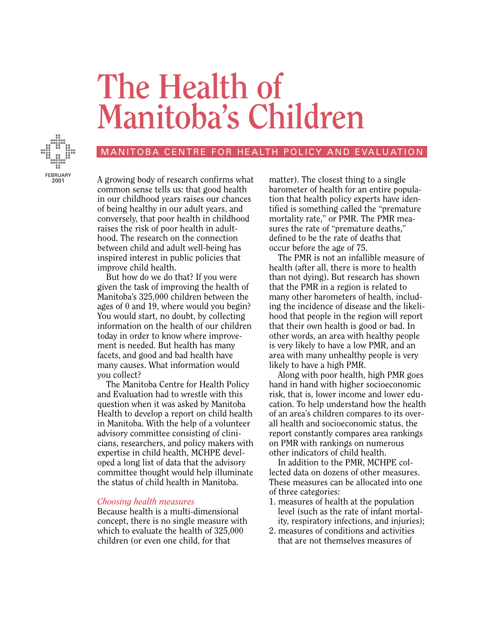# **The Health of Manitoba's Children**



## MANITOBA CENTRE FOR HEALTH POLICY AND EVALUATION

A growing body of research confirms what common sense tells us: that good health in our childhood years raises our chances of being healthy in our adult years, and conversely, that poor health in childhood raises the risk of poor health in adulthood. The research on the connection between child and adult well-being has inspired interest in public policies that improve child health.

But how do we do that? If you were given the task of improving the health of Manitoba's 325,000 children between the ages of 0 and 19, where would you begin? You would start, no doubt, by collecting information on the health of our children today in order to know where improvement is needed. But health has many facets, and good and bad health have many causes. What information would you collect?

The Manitoba Centre for Health Policy and Evaluation had to wrestle with this question when it was asked by Manitoba Health to develop a report on child health in Manitoba. With the help of a volunteer advisory committee consisting of clinicians, researchers, and policy makers with expertise in child health, MCHPE developed a long list of data that the advisory committee thought would help illuminate the status of child health in Manitoba.

#### *Choosing health measures*

Because health is a multi-dimensional concept, there is no single measure with which to evaluate the health of 325,000 children (or even one child, for that

matter). The closest thing to a single barometer of health for an entire population that health policy experts have identified is something called the "premature mortality rate," or PMR. The PMR measures the rate of "premature deaths," defined to be the rate of deaths that occur before the age of 75.

The PMR is not an infallible measure of health (after all, there is more to health than not dying). But research has shown that the PMR in a region is related to many other barometers of health, including the incidence of disease and the likelihood that people in the region will report that their own health is good or bad. In other words, an area with healthy people is very likely to have a low PMR, and an area with many unhealthy people is very likely to have a high PMR.

Along with poor health, high PMR goes hand in hand with higher socioeconomic risk, that is, lower income and lower education. To help understand how the health of an area's children compares to its overall health and socioeconomic status, the report constantly compares area rankings on PMR with rankings on numerous other indicators of child health.

In addition to the PMR, MCHPE collected data on dozens of other measures. These measures can be allocated into one of three categories:

- 1. measures of health at the population level (such as the rate of infant mortality, respiratory infections, and injuries);
- 2. measures of conditions and activities that are not themselves measures of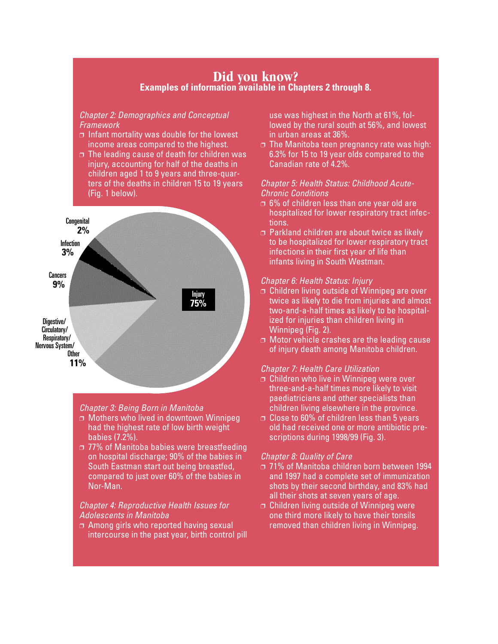## **Did you know? Examples of information available in Chapters 2 through 8.**

## *Chapter 2: Demographics and Conceptual Framework*

- ❐ Infant mortality was double for the lowest income areas compared to the highest.
- ❐ The leading cause of death for children was injury, accounting for half of the deaths in children aged 1 to 9 years and three-quarters of the deaths in children 15 to 19 years (Fig. 1 below).



#### *Chapter 3: Being Born in Manitoba*

- ❐ Mothers who lived in downtown Winnipeg had the highest rate of low birth weight babies (7.2%).
- ❐ 77% of Manitoba babies were breastfeeding on hospital discharge; 90% of the babies in South Eastman start out being breastfed, compared to just over 60% of the babies in Nor-Man.

## *Chapter 4: Reproductive Health Issues for Adolescents in Manitoba*

❐ Among girls who reported having sexual intercourse in the past year, birth control pill use was highest in the North at 61%, followed by the rural south at 56%, and lowest in urban areas at 36%.

 $\Box$  The Manitoba teen pregnancy rate was high: 6.3% for 15 to 19 year olds compared to the Canadian rate of 4.2%.

## *Chapter 5: Health Status: Childhood Acute-Chronic Conditions*

- ❐ 6% of children less than one year old are hospitalized for lower respiratory tract infections.
- ❐ Parkland children are about twice as likely to be hospitalized for lower respiratory tract infections in their first year of life than infants living in South Westman.

## *Chapter 6: Health Status: Injury*

- ❐ Children living outside of Winnipeg are over twice as likely to die from injuries and almost two-and-a-half times as likely to be hospitalized for injuries than children living in Winnipeg (Fig. 2).
- **□ Motor vehicle crashes are the leading cause** of injury death among Manitoba children.

#### *Chapter 7: Health Care Utilization*

- ❐ Children who live in Winnipeg were over three-and-a-half times more likely to visit paediatricians and other specialists than children living elsewhere in the province.
- ❐ Close to 60% of children less than 5 years old had received one or more antibiotic prescriptions during 1998/99 (Fig. 3).

#### *Chapter 8: Quality of Care*

- ❐ 71% of Manitoba children born between 1994 and 1997 had a complete set of immunization shots by their second birthday, and 83% had all their shots at seven years of age.
- ❐ Children living outside of Winnipeg were one third more likely to have their tonsils removed than children living in Winnipeg.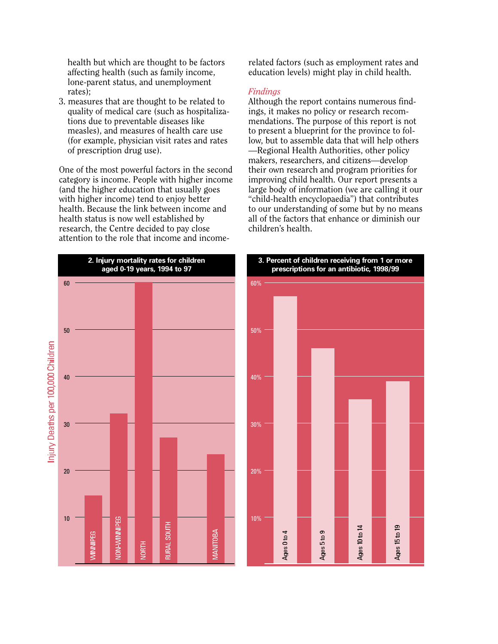health but which are thought to be factors affecting health (such as family income, lone-parent status, and unemployment rates);

3. measures that are thought to be related to quality of medical care (such as hospitalizations due to preventable diseases like measles), and measures of health care use (for example, physician visit rates and rates of prescription drug use).

One of the most powerful factors in the second category is income. People with higher income (and the higher education that usually goes with higher income) tend to enjoy better health. Because the link between income and health status is now well established by research, the Centre decided to pay close attention to the role that income and incomerelated factors (such as employment rates and education levels) might play in child health.

#### *Findings*

Although the report contains numerous findings, it makes no policy or research recommendations. The purpose of this report is not to present a blueprint for the province to follow, but to assemble data that will help others —Regional Health Authorities, other policy makers, researchers, and citizens—develop their own research and program priorities for improving child health. Our report presents a large body of information (we are calling it our "child-health encyclopaedia") that contributes to our understanding of some but by no means all of the factors that enhance or diminish our children's health.